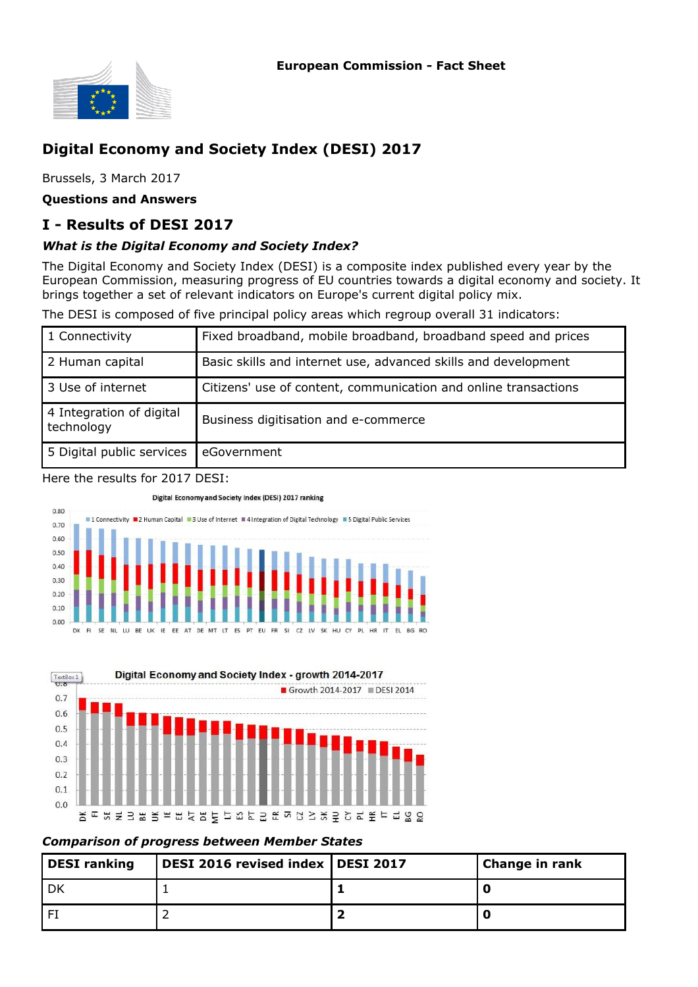

# **Digital Economy and Society Index (DESI) 2017**

Brussels, 3 March 2017

**Questions and Answers**

# **I - Results of DESI 2017**

### *What is the Digital Economy and Society Index?*

The Digital Economy and Society Index (DESI) is a composite index published every year by the European Commission, measuring progress of EU countries towards a digital economy and society. It brings together a set of relevant indicators on Europe's current digital policy mix.

The DESI is composed of five principal policy areas which regroup overall 31 indicators:

| 1 Connectivity                         | Fixed broadband, mobile broadband, broadband speed and prices   |
|----------------------------------------|-----------------------------------------------------------------|
| 2 Human capital                        | Basic skills and internet use, advanced skills and development  |
| 3 Use of internet                      | Citizens' use of content, communication and online transactions |
| 4 Integration of digital<br>technology | Business digitisation and e-commerce                            |
| 5 Digital public services              | eGovernment                                                     |

Here the results for 2017 DESI:

#### Digital Economy and Society Index (DESI) 2017 ranking





#### *Comparison of progress between Member States*

| <b>DESI</b> ranking | DESI 2016 revised index   DESI 2017 | Change in rank |
|---------------------|-------------------------------------|----------------|
|                     |                                     |                |
|                     |                                     |                |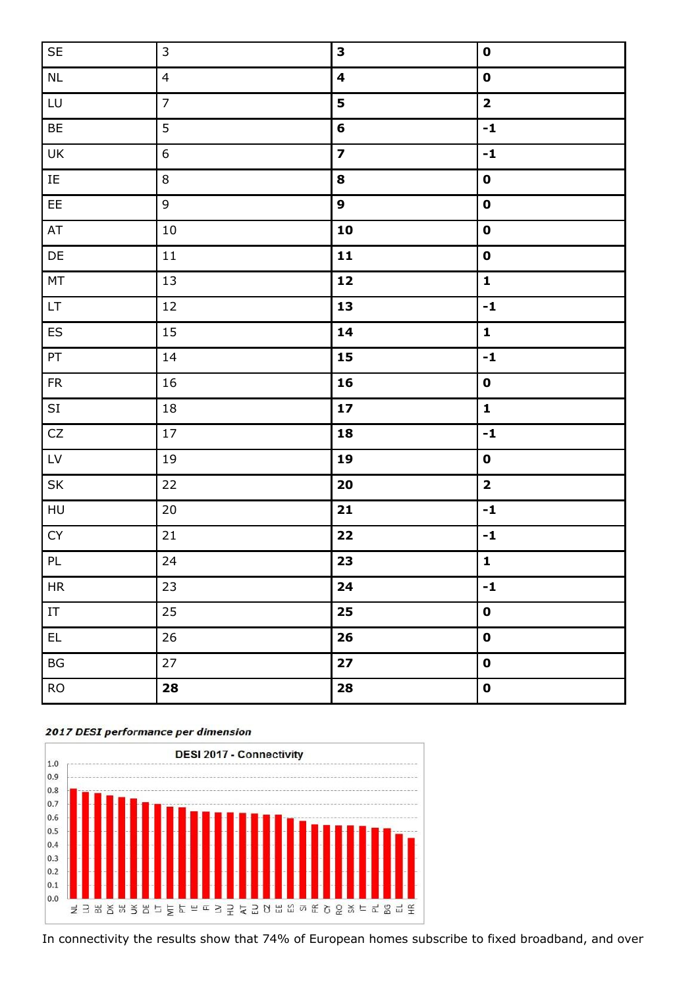| $\mathsf{SE}\xspace$              | $\mathsf 3$      | 3                       | $\mathbf 0$             |
|-----------------------------------|------------------|-------------------------|-------------------------|
| $\sf NL$                          | $\overline{4}$   | $\overline{\mathbf{4}}$ | $\mathbf 0$             |
| LU                                | $\overline{7}$   | 5                       | $\overline{\mathbf{2}}$ |
| BE                                | $\overline{5}$   | 6                       | $-1$                    |
| UK                                | $\boldsymbol{6}$ | $\overline{\mathbf{z}}$ | $-1$                    |
| $\rm IE$                          | $\,8\,$          | 8                       | $\mathbf 0$             |
| EE                                | $\overline{9}$   | 9                       | $\mathbf 0$             |
| AT                                | $10\,$           | 10                      | $\mathbf 0$             |
| DE                                | 11               | 11                      | $\mathbf 0$             |
| $\mathsf{MT}% _{0}$               | 13               | $\mathbf{12}$           | $\mathbf{1}$            |
| $\ensuremath{\mathsf{LT}}\xspace$ | 12               | 13                      | $-1$                    |
| ${\sf ES}$                        | 15               | 14                      | $\mathbf{1}$            |
| PT                                | 14               | 15                      | $\textbf{-1}$           |
| ${\sf FR}$                        | 16               | 16                      | $\mathbf 0$             |
| $\mathsf{SI}\,$                   | $18\,$           | 17                      | $\mathbf{1}$            |
| ${\sf CZ}$                        | 17               | 18                      | $-1$                    |
| ${\sf L}{\sf V}$                  | $19\,$           | 19                      | $\mathbf 0$             |
| SK                                | 22               | 20                      | $\overline{\mathbf{2}}$ |
| ${\sf H}{\sf U}$                  | $20\,$           | 21                      | $-1$                    |
| ${\sf CY}$                        | 21               | 22                      | $-1$                    |
| $\mathsf{PL}$                     | 24               | 23                      | $\mathbf{1}$            |
| HR                                | 23               | 24                      | $-1$                    |
| $\ensuremath{\mathsf{IT}}$        | 25               | 25                      | $\mathbf 0$             |
| $\mathsf{EL}$                     | 26               | 26                      | $\mathbf 0$             |
| $\mathsf{B}\mathsf{G}$            | 27               | $\mathbf{27}$           | $\mathbf 0$             |
| <b>RO</b>                         | 28               | 28                      | $\mathbf 0$             |
|                                   |                  |                         |                         |

#### 2017 DESI performance per dimension



In connectivity the results show that 74% of European homes subscribe to fixed broadband, and over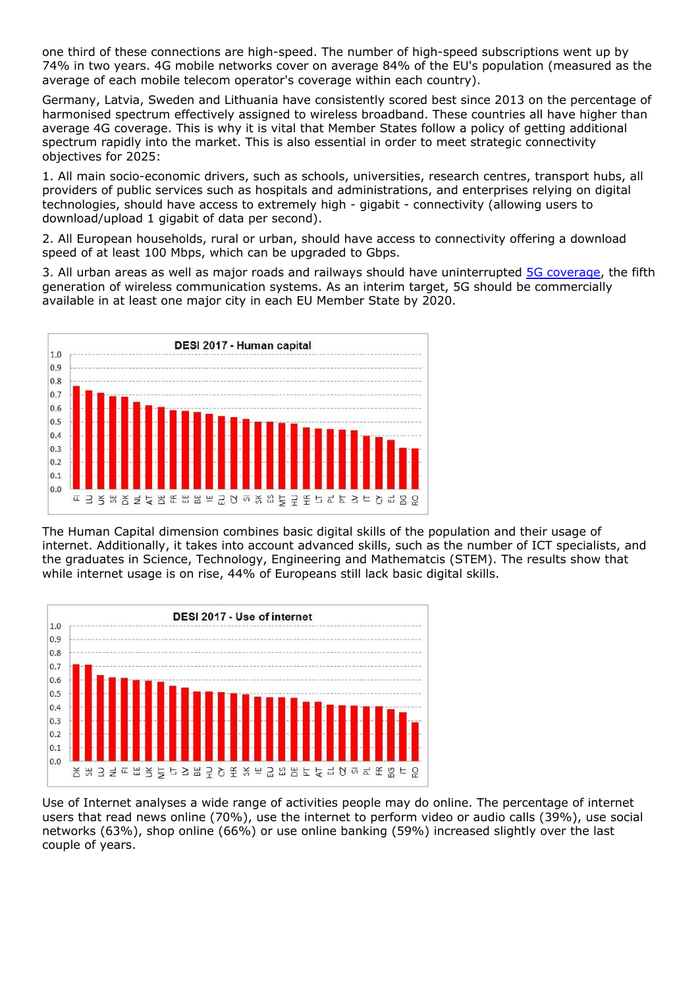one third of these connections are high-speed. The number of high-speed subscriptions went up by 74% in two years. 4G mobile networks cover on average 84% of the EU's population (measured as the average of each mobile telecom operator's coverage within each country).

Germany, Latvia, Sweden and Lithuania have consistently scored best since 2013 on the percentage of harmonised spectrum effectively assigned to wireless broadband. These countries all have higher than average 4G coverage. This is why it is vital that Member States follow a policy of getting additional spectrum rapidly into the market. This is also essential in order to meet strategic connectivity objectives for 2025:

1. All main socio-economic drivers, such as schools, universities, research centres, transport hubs, all providers of public services such as hospitals and administrations, and enterprises relying on digital technologies, should have access to extremely high - gigabit - connectivity (allowing users to download/upload 1 gigabit of data per second).

2. All European households, rural or urban, should have access to connectivity offering a download speed of at least 100 Mbps, which can be upgraded to Gbps.

3. All urban areas as well as major roads and railways should have uninterrupted [5G coverage,](https://ec.europa.eu/digital-single-market/en/towards-5g) the fifth generation of wireless communication systems. As an interim target, 5G should be commercially available in at least one major city in each EU Member State by 2020.



The Human Capital dimension combines basic digital skills of the population and their usage of internet. Additionally, it takes into account advanced skills, such as the number of ICT specialists, and the graduates in Science, Technology, Engineering and Mathematcis (STEM). The results show that while internet usage is on rise, 44% of Europeans still lack basic digital skills.



Use of Internet analyses a wide range of activities people may do online. The percentage of internet users that read news online (70%), use the internet to perform video or audio calls (39%), use social networks (63%), shop online (66%) or use online banking (59%) increased slightly over the last couple of years.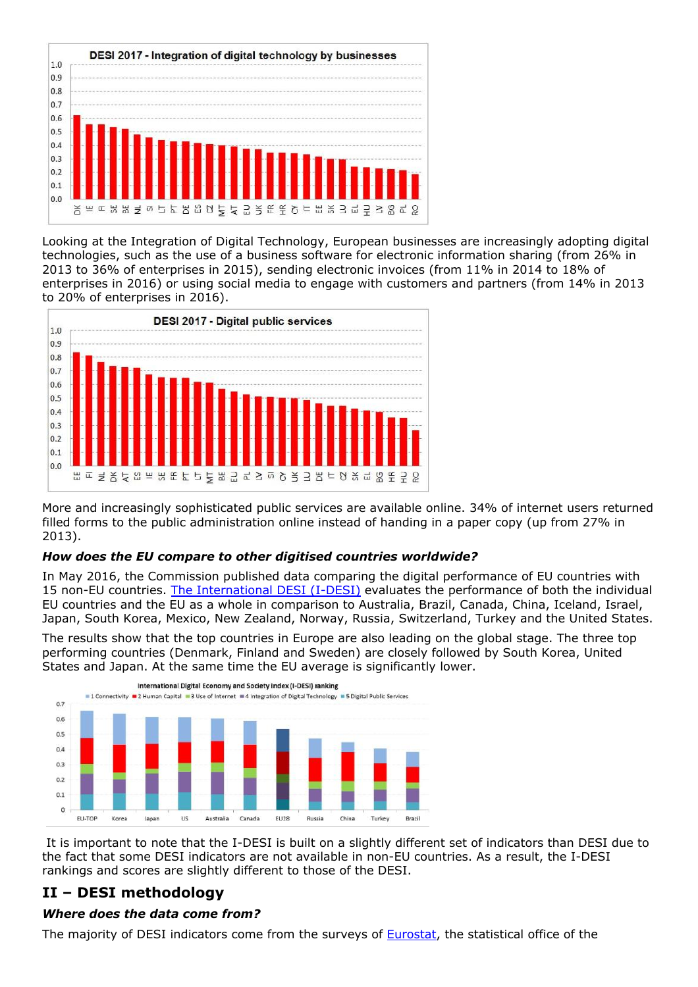

Looking at the Integration of Digital Technology, European businesses are increasingly adopting digital technologies, such as the use of a business software for electronic information sharing (from 26% in 2013 to 36% of enterprises in 2015), sending electronic invoices (from 11% in 2014 to 18% of enterprises in 2016) or using social media to engage with customers and partners (from 14% in 2013 to 20% of enterprises in 2016).



More and increasingly sophisticated public services are available online. 34% of internet users returned filled forms to the public administration online instead of handing in a paper copy (up from 27% in 2013).

# *How does the EU compare to other digitised countries worldwide?*

In May 2016, the Commission published data comparing the digital performance of EU countries with 15 non-EU countries. [The International DESI \(I-DESI\)](https://ec.europa.eu/digital-single-market/en/news/most-digital-eu-countries-lead-globally) evaluates the performance of both the individual EU countries and the EU as a whole in comparison to Australia, Brazil, Canada, China, Iceland, Israel, Japan, South Korea, Mexico, New Zealand, Norway, Russia, Switzerland, Turkey and the United States.

The results show that the top countries in Europe are also leading on the global stage. The three top performing countries (Denmark, Finland and Sweden) are closely followed by South Korea, United States and Japan. At the same time the EU average is significantly lower.



 It is important to note that the I-DESI is built on a slightly different set of indicators than DESI due to the fact that some DESI indicators are not available in non-EU countries. As a result, the I-DESI rankings and scores are slightly different to those of the DESI.

# **II – DESI methodology**

# *Where does the data come from?*

The majority of DESI indicators come from the surveys of **Eurostat**, the statistical office of the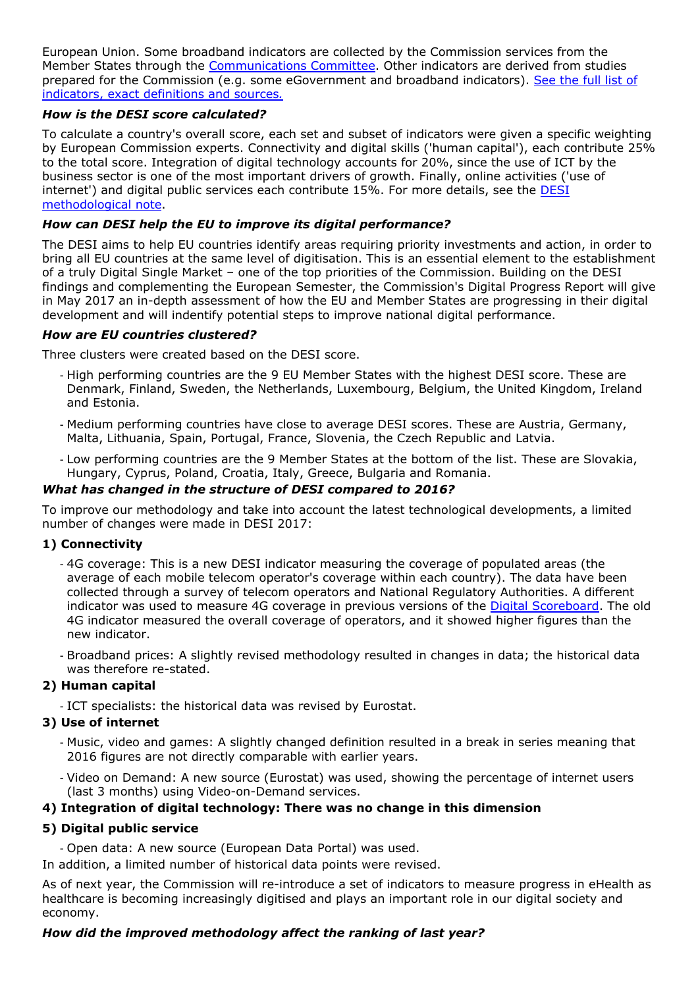European Union. Some broadband indicators are collected by the Commission services from the Member States through the [Communications Committee.](https://ec.europa.eu/digital-single-market/en/communications-committee) Other indicators are derived from studies prepared for the Commission (e.g. some eGovernment and broadband indicators). [See the full list of](http://ec.europa.eu/newsroom/document.cfm?doc_id=43049) [indicators, exact definitions and sources](http://ec.europa.eu/newsroom/document.cfm?doc_id=43049)*.*

# *How is the DESI score calculated?*

To calculate a country's overall score, each set and subset of indicators were given a specific weighting by European Commission experts. Connectivity and digital skills ('human capital'), each contribute 25% to the total score. Integration of digital technology accounts for 20%, since the use of ICT by the business sector is one of the most important drivers of growth. Finally, online activities ('use of internet') and digital public services each contribute 15%. For more details, see the [DESI](http://ec.europa.eu/newsroom/document.cfm?doc_id=43048) [methodological note.](http://ec.europa.eu/newsroom/document.cfm?doc_id=43048)

# *How can DESI help the EU to improve its digital performance?*

The DESI aims to help EU countries identify areas requiring priority investments and action, in order to bring all EU countries at the same level of digitisation. This is an essential element to the establishment of a truly Digital Single Market – one of the top priorities of the Commission. Building on the DESI findings and complementing the European Semester, the Commission's Digital Progress Report will give in May 2017 an in-depth assessment of how the EU and Member States are progressing in their digital development and will indentify potential steps to improve national digital performance.

# *How are EU countries clustered?*

Three clusters were created based on the DESI score.

- High performing countries are the 9 EU Member States with the highest DESI score. These are Denmark, Finland, Sweden, the Netherlands, Luxembourg, Belgium, the United Kingdom, Ireland and Estonia.
- Medium performing countries have close to average DESI scores. These are Austria, Germany, Malta, Lithuania, Spain, Portugal, France, Slovenia, the Czech Republic and Latvia.
- Low performing countries are the 9 Member States at the bottom of the list. These are Slovakia, Hungary, Cyprus, Poland, Croatia, Italy, Greece, Bulgaria and Romania.

# *What has changed in the structure of DESI compared to 2016?*

To improve our methodology and take into account the latest technological developments, a limited number of changes were made in DESI 2017:

# **1) Connectivity**

- 4G coverage: This is a new DESI indicator measuring the coverage of populated areas (the average of each mobile telecom operator's coverage within each country). The data have been collected through a survey of telecom operators and National Regulatory Authorities. A different indicator was used to measure 4G coverage in previous versions of the [Digital Scoreboard.](https://ec.europa.eu/digital-single-market/en/digital-scoreboard) The old 4G indicator measured the overall coverage of operators, and it showed higher figures than the new indicator.
- Broadband prices: A slightly revised methodology resulted in changes in data; the historical data was therefore re-stated.

# **2) Human capital**

- ICT specialists: the historical data was revised by Eurostat.

# **3) Use of internet**

- Music, video and games: A slightly changed definition resulted in a break in series meaning that 2016 figures are not directly comparable with earlier years.
- Video on Demand: A new source (Eurostat) was used, showing the percentage of internet users (last 3 months) using Video-on-Demand services.

# **4) Integration of digital technology: There was no change in this dimension**

# **5) Digital public service**

- Open data: A new source (European Data Portal) was used.

In addition, a limited number of historical data points were revised.

As of next year, the Commission will re-introduce a set of indicators to measure progress in eHealth as healthcare is becoming increasingly digitised and plays an important role in our digital society and economy.

# *How did the improved methodology affect the ranking of last year?*